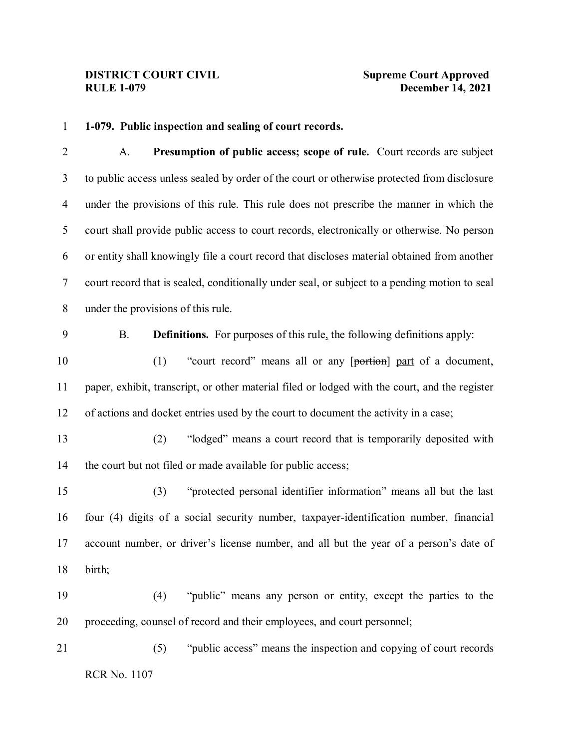### **1-079. Public inspection and sealing of court records.**

 A. **Presumption of public access; scope of rule.** Court records are subject to public access unless sealed by order of the court or otherwise protected from disclosure under the provisions of this rule. This rule does not prescribe the manner in which the court shall provide public access to court records, electronically or otherwise. No person or entity shall knowingly file a court record that discloses material obtained from another court record that is sealed, conditionally under seal, or subject to a pending motion to seal under the provisions of this rule.

B. **Definitions.** For purposes of this rule, the following definitions apply:

10 (1) "court record" means all or any [portion] part of a document, paper, exhibit, transcript, or other material filed or lodged with the court, and the register of actions and docket entries used by the court to document the activity in a case;

 (2) "lodged" means a court record that is temporarily deposited with 14 the court but not filed or made available for public access;

 (3) "protected personal identifier information" means all but the last four (4) digits of a social security number, taxpayer-identification number, financial account number, or driver's license number, and all but the year of a person's date of birth;

 (4) "public" means any person or entity, except the parties to the proceeding, counsel of record and their employees, and court personnel;

RCR No. 1107 (5) "public access" means the inspection and copying of court records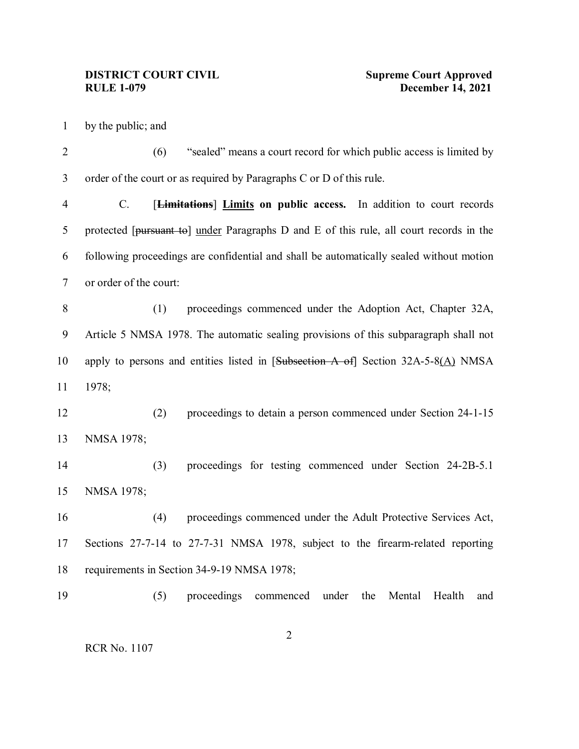by the public; and

2 (6) "sealed" means a court record for which public access is limited by order of the court or as required by Paragraphs C or D of this rule.

 C. [**Limitations**] **Limits on public access.** In addition to court records 5 protected [pursuant to] under Paragraphs D and E of this rule, all court records in the following proceedings are confidential and shall be automatically sealed without motion or order of the court:

 (1) proceedings commenced under the Adoption Act, Chapter 32A, Article 5 NMSA 1978. The automatic sealing provisions of this subparagraph shall not apply to persons and entities listed in [Subsection A of] Section 32A-5-8(A) NMSA 1978;

 (2) proceedings to detain a person commenced under Section 24-1-15 NMSA 1978;

 (3) proceedings for testing commenced under Section 24-2B-5.1 NMSA 1978;

 (4) proceedings commenced under the Adult Protective Services Act, Sections 27-7-14 to 27-7-31 NMSA 1978, subject to the firearm-related reporting requirements in Section 34-9-19 NMSA 1978;

(5) proceedings commenced under the Mental Health and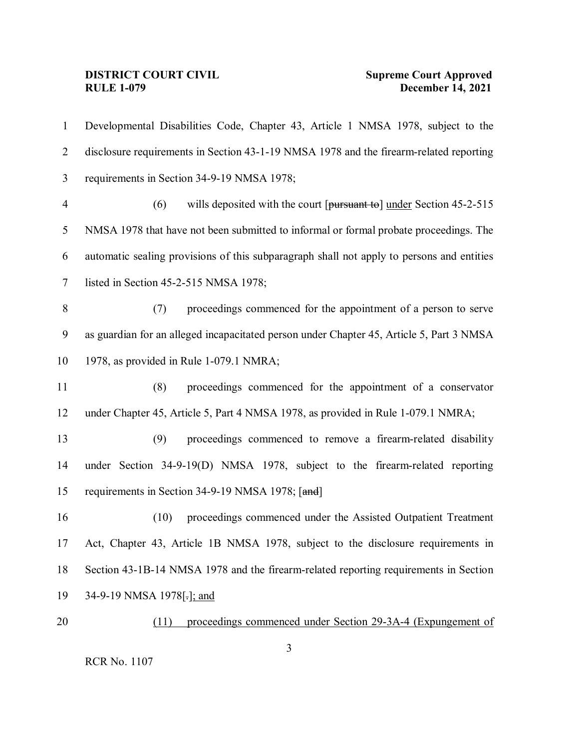# **DISTRICT COURT CIVIL<br>RULE 1-079**

| $\mathbf{1}$     | Developmental Disabilities Code, Chapter 43, Article 1 NMSA 1978, subject to the          |
|------------------|-------------------------------------------------------------------------------------------|
| $\overline{2}$   | disclosure requirements in Section 43-1-19 NMSA 1978 and the firearm-related reporting    |
| $\mathfrak{Z}$   | requirements in Section 34-9-19 NMSA 1978;                                                |
| $\overline{4}$   | (6)<br>wills deposited with the court [pursuant to] under Section 45-2-515                |
| 5                | NMSA 1978 that have not been submitted to informal or formal probate proceedings. The     |
| 6                | automatic sealing provisions of this subparagraph shall not apply to persons and entities |
| $\tau$           | listed in Section 45-2-515 NMSA 1978;                                                     |
| $8\,$            | proceedings commenced for the appointment of a person to serve<br>(7)                     |
| $\boldsymbol{9}$ | as guardian for an alleged incapacitated person under Chapter 45, Article 5, Part 3 NMSA  |
| 10               | 1978, as provided in Rule 1-079.1 NMRA;                                                   |
| 11               | (8)<br>proceedings commenced for the appointment of a conservator                         |
| 12               | under Chapter 45, Article 5, Part 4 NMSA 1978, as provided in Rule 1-079.1 NMRA;          |
| 13               | (9)<br>proceedings commenced to remove a firearm-related disability                       |
| 14               | under Section 34-9-19(D) NMSA 1978, subject to the firearm-related reporting              |
| 15               | requirements in Section 34-9-19 NMSA 1978; [and]                                          |
| 16               | (10)<br>proceedings commenced under the Assisted Outpatient Treatment                     |
| 17               | Act, Chapter 43, Article 1B NMSA 1978, subject to the disclosure requirements in          |
| 18               | Section 43-1B-14 NMSA 1978 and the firearm-related reporting requirements in Section      |
| 19               | 34-9-19 NMSA 1978[-]; and                                                                 |
| 20               | proceedings commenced under Section 29-3A-4 (Expungement of<br>(11)                       |
|                  |                                                                                           |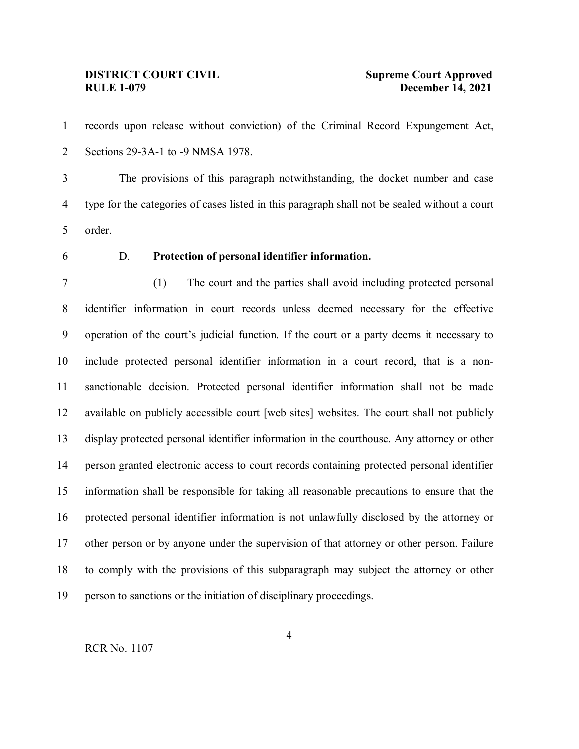records upon release without conviction) of the Criminal Record Expungement Act, Sections 29-3A-1 to -9 NMSA 1978.

 The provisions of this paragraph notwithstanding, the docket number and case type for the categories of cases listed in this paragraph shall not be sealed without a court order.

### D. **Protection of personal identifier information.**

 (1) The court and the parties shall avoid including protected personal identifier information in court records unless deemed necessary for the effective operation of the court's judicial function. If the court or a party deems it necessary to include protected personal identifier information in a court record, that is a non- sanctionable decision. Protected personal identifier information shall not be made 12 available on publicly accessible court  $[$ <del>web sites</del> $]$  websites. The court shall not publicly display protected personal identifier information in the courthouse. Any attorney or other person granted electronic access to court records containing protected personal identifier information shall be responsible for taking all reasonable precautions to ensure that the protected personal identifier information is not unlawfully disclosed by the attorney or other person or by anyone under the supervision of that attorney or other person. Failure to comply with the provisions of this subparagraph may subject the attorney or other person to sanctions or the initiation of disciplinary proceedings.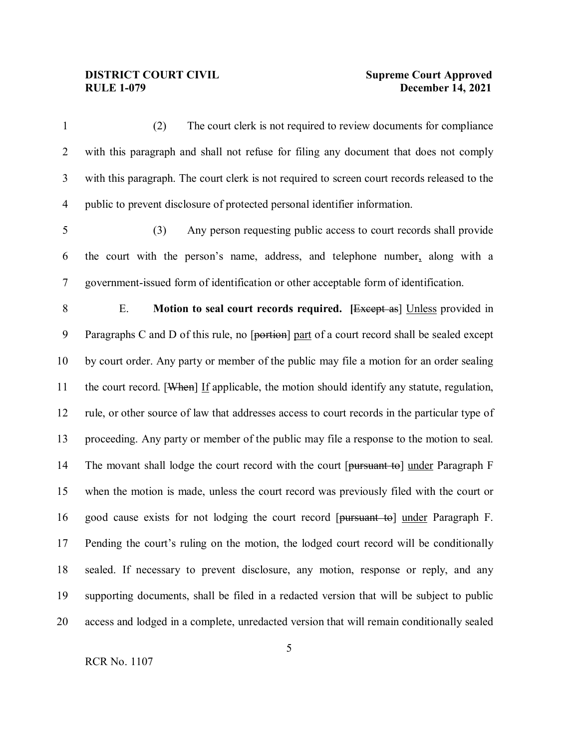(2) The court clerk is not required to review documents for compliance with this paragraph and shall not refuse for filing any document that does not comply with this paragraph. The court clerk is not required to screen court records released to the public to prevent disclosure of protected personal identifier information. (3) Any person requesting public access to court records shall provide the court with the person's name, address, and telephone number, along with a government-issued form of identification or other acceptable form of identification. E. **Motion to seal court records required. [**Except as] Unless provided in 9 Paragraphs C and D of this rule, no [portion] part of a court record shall be sealed except by court order. Any party or member of the public may file a motion for an order sealing the court record. [When] If applicable, the motion should identify any statute, regulation, rule, or other source of law that addresses access to court records in the particular type of proceeding. Any party or member of the public may file a response to the motion to seal. 14 The movant shall lodge the court record with the court [pursuant to] under Paragraph F when the motion is made, unless the court record was previously filed with the court or good cause exists for not lodging the court record [pursuant to] under Paragraph F. Pending the court's ruling on the motion, the lodged court record will be conditionally sealed. If necessary to prevent disclosure, any motion, response or reply, and any supporting documents, shall be filed in a redacted version that will be subject to public access and lodged in a complete, unredacted version that will remain conditionally sealed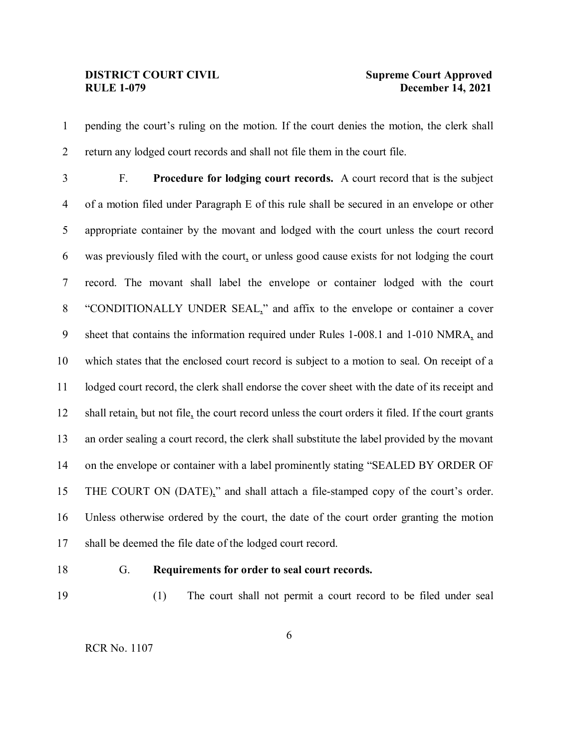pending the court's ruling on the motion. If the court denies the motion, the clerk shall return any lodged court records and shall not file them in the court file.

 F. **Procedure for lodging court records.** A court record that is the subject of a motion filed under Paragraph E of this rule shall be secured in an envelope or other appropriate container by the movant and lodged with the court unless the court record was previously filed with the court, or unless good cause exists for not lodging the court record. The movant shall label the envelope or container lodged with the court "CONDITIONALLY UNDER SEAL," and affix to the envelope or container a cover sheet that contains the information required under Rules 1-008.1 and 1-010 NMRA, and which states that the enclosed court record is subject to a motion to seal. On receipt of a lodged court record, the clerk shall endorse the cover sheet with the date of its receipt and shall retain, but not file, the court record unless the court orders it filed. If the court grants an order sealing a court record, the clerk shall substitute the label provided by the movant on the envelope or container with a label prominently stating "SEALED BY ORDER OF THE COURT ON (DATE)," and shall attach a file-stamped copy of the court's order. Unless otherwise ordered by the court, the date of the court order granting the motion shall be deemed the file date of the lodged court record.

### G. **Requirements for order to seal court records.**

(1) The court shall not permit a court record to be filed under seal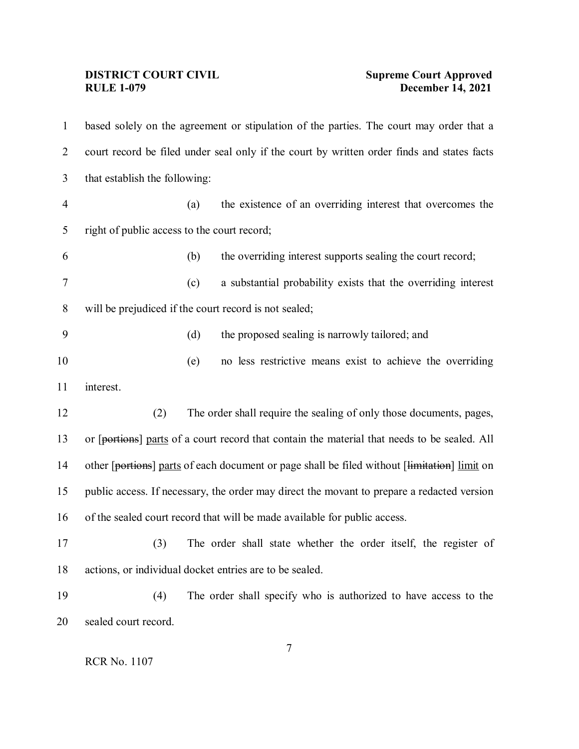# **DISTRICT COURT CIVIL<br>RULE 1-079**

# **Supreme Court Approved<br>December 14, 2021**

| $\mathbf{1}$   | based solely on the agreement or stipulation of the parties. The court may order that a      |     |                                                                                              |  |  |
|----------------|----------------------------------------------------------------------------------------------|-----|----------------------------------------------------------------------------------------------|--|--|
| 2              | court record be filed under seal only if the court by written order finds and states facts   |     |                                                                                              |  |  |
| 3              | that establish the following:                                                                |     |                                                                                              |  |  |
| $\overline{4}$ |                                                                                              | (a) | the existence of an overriding interest that overcomes the                                   |  |  |
| 5              | right of public access to the court record;                                                  |     |                                                                                              |  |  |
| 6              |                                                                                              | (b) | the overriding interest supports sealing the court record;                                   |  |  |
| 7              |                                                                                              | (c) | a substantial probability exists that the overriding interest                                |  |  |
| 8              | will be prejudiced if the court record is not sealed;                                        |     |                                                                                              |  |  |
| 9              |                                                                                              | (d) | the proposed sealing is narrowly tailored; and                                               |  |  |
| 10             |                                                                                              | (e) | no less restrictive means exist to achieve the overriding                                    |  |  |
| 11             | interest.                                                                                    |     |                                                                                              |  |  |
| 12             | (2)                                                                                          |     | The order shall require the sealing of only those documents, pages,                          |  |  |
| 13             | or [portions] parts of a court record that contain the material that needs to be sealed. All |     |                                                                                              |  |  |
| 14             |                                                                                              |     | other [portions] parts of each document or page shall be filed without [limitation] limit on |  |  |
| 15             |                                                                                              |     | public access. If necessary, the order may direct the movant to prepare a redacted version   |  |  |
| 16             |                                                                                              |     | of the sealed court record that will be made available for public access.                    |  |  |
| 17             |                                                                                              |     | (3) The order shall state whether the order itself, the register of                          |  |  |
| 18             |                                                                                              |     | actions, or individual docket entries are to be sealed.                                      |  |  |
| 19             | (4)                                                                                          |     | The order shall specify who is authorized to have access to the                              |  |  |
| 20             | sealed court record.                                                                         |     |                                                                                              |  |  |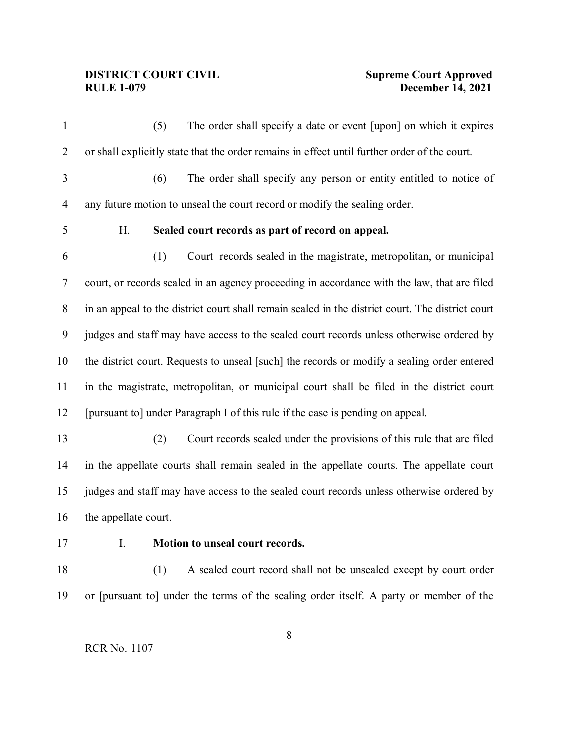1 (5) The order shall specify a date or event [upon] on which it expires or shall explicitly state that the order remains in effect until further order of the court. (6) The order shall specify any person or entity entitled to notice of any future motion to unseal the court record or modify the sealing order. H. **Sealed court records as part of record on appeal.** (1) Court records sealed in the magistrate, metropolitan, or municipal court, or records sealed in an agency proceeding in accordance with the law, that are filed in an appeal to the district court shall remain sealed in the district court. The district court judges and staff may have access to the sealed court records unless otherwise ordered by 10 the district court. Requests to unseal [such] the records or modify a sealing order entered in the magistrate, metropolitan, or municipal court shall be filed in the district court [pursuant to] under Paragraph I of this rule if the case is pending on appeal. (2) Court records sealed under the provisions of this rule that are filed in the appellate courts shall remain sealed in the appellate courts. The appellate court judges and staff may have access to the sealed court records unless otherwise ordered by the appellate court. I. **Motion to unseal court records.** 18 (1) A sealed court record shall not be unsealed except by court order or [pursuant to] under the terms of the sealing order itself. A party or member of the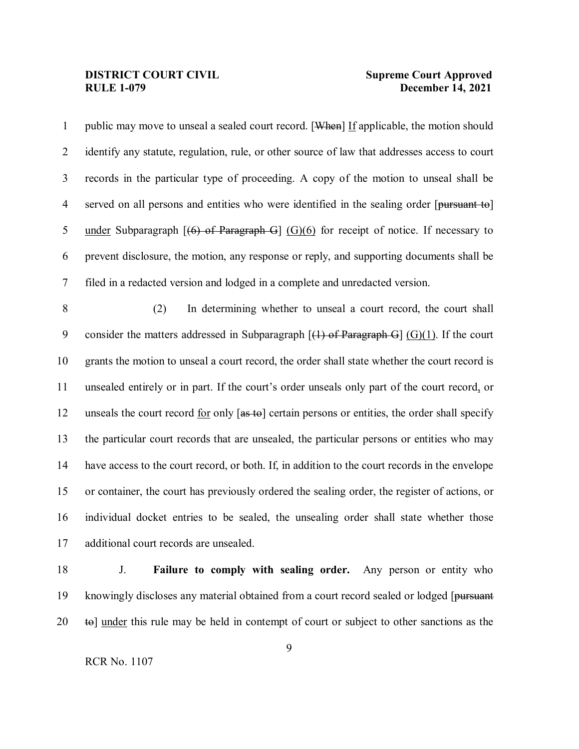1 public may move to unseal a sealed court record. [When] If applicable, the motion should identify any statute, regulation, rule, or other source of law that addresses access to court records in the particular type of proceeding. A copy of the motion to unseal shall be 4 served on all persons and entities who were identified in the sealing order [pursuant to] 5 under Subparagraph  $[(6)$  of Paragraph G  $(G)(6)$  for receipt of notice. If necessary to prevent disclosure, the motion, any response or reply, and supporting documents shall be filed in a redacted version and lodged in a complete and unredacted version. (2) In determining whether to unseal a court record, the court shall 9 consider the matters addressed in Subparagraph  $[(1)$  of Paragraph G $]$  (G)(1). If the court grants the motion to unseal a court record, the order shall state whether the court record is unsealed entirely or in part. If the court's order unseals only part of the court record, or 12 unseals the court record for only [as to] certain persons or entities, the order shall specify the particular court records that are unsealed, the particular persons or entities who may have access to the court record, or both. If, in addition to the court records in the envelope or container, the court has previously ordered the sealing order, the register of actions, or individual docket entries to be sealed, the unsealing order shall state whether those additional court records are unsealed.

 J. **Failure to comply with sealing order.** Any person or entity who 19 knowingly discloses any material obtained from a court record sealed or lodged [pursuant] to] under this rule may be held in contempt of court or subject to other sanctions as the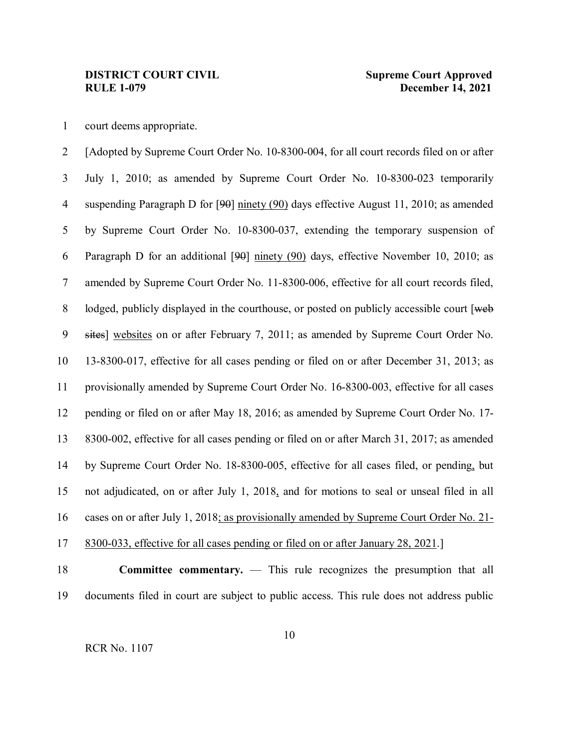court deems appropriate.

 [Adopted by Supreme Court Order No. 10-8300-004, for all court records filed on or after July 1, 2010; as amended by Supreme Court Order No. 10-8300-023 temporarily suspending Paragraph D for [90] ninety (90) days effective August 11, 2010; as amended by Supreme Court Order No. 10-8300-037, extending the temporary suspension of Paragraph D for an additional [90] ninety (90) days, effective November 10, 2010; as amended by Supreme Court Order No. 11-8300-006, effective for all court records filed, 8 lodged, publicly displayed in the courthouse, or posted on publicly accessible court [web] 9 sites] websites on or after February 7, 2011; as amended by Supreme Court Order No. 13-8300-017, effective for all cases pending or filed on or after December 31, 2013; as provisionally amended by Supreme Court Order No. 16-8300-003, effective for all cases pending or filed on or after May 18, 2016; as amended by Supreme Court Order No. 17- 8300-002, effective for all cases pending or filed on or after March 31, 2017; as amended by Supreme Court Order No. 18-8300-005, effective for all cases filed, or pending, but not adjudicated, on or after July 1, 2018, and for motions to seal or unseal filed in all cases on or after July 1, 2018; as provisionally amended by Supreme Court Order No. 21- 8300-033, effective for all cases pending or filed on or after January 28, 2021.]

 **Committee commentary.** — This rule recognizes the presumption that all documents filed in court are subject to public access. This rule does not address public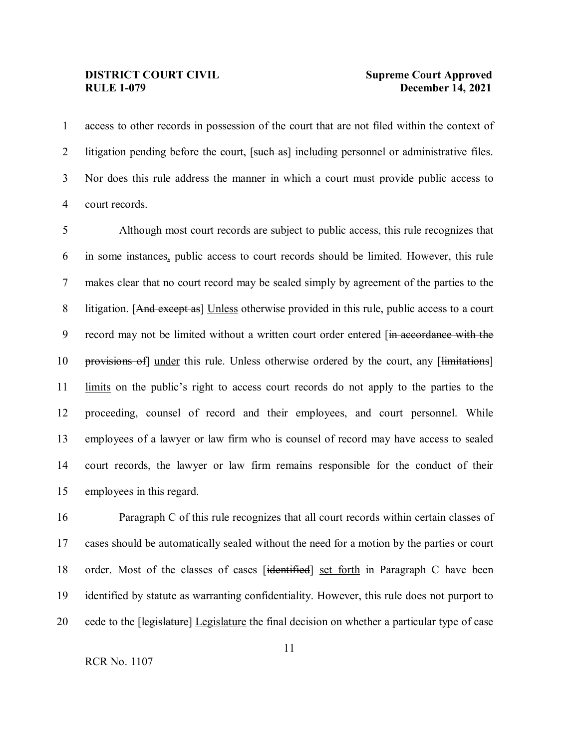access to other records in possession of the court that are not filed within the context of 2 litigation pending before the court, [such as] including personnel or administrative files. Nor does this rule address the manner in which a court must provide public access to court records.

 Although most court records are subject to public access, this rule recognizes that in some instances, public access to court records should be limited. However, this rule makes clear that no court record may be sealed simply by agreement of the parties to the 8 litigation. [And except as] Unless otherwise provided in this rule, public access to a court 9 record may not be limited without a written court order entered [in accordance with the 10 provisions of under this rule. Unless otherwise ordered by the court, any [limitations] limits on the public's right to access court records do not apply to the parties to the proceeding, counsel of record and their employees, and court personnel. While employees of a lawyer or law firm who is counsel of record may have access to sealed court records, the lawyer or law firm remains responsible for the conduct of their employees in this regard.

 Paragraph C of this rule recognizes that all court records within certain classes of cases should be automatically sealed without the need for a motion by the parties or court 18 order. Most of the classes of cases [identified] set forth in Paragraph C have been identified by statute as warranting confidentiality. However, this rule does not purport to 20 cede to the [legislature] Legislature the final decision on whether a particular type of case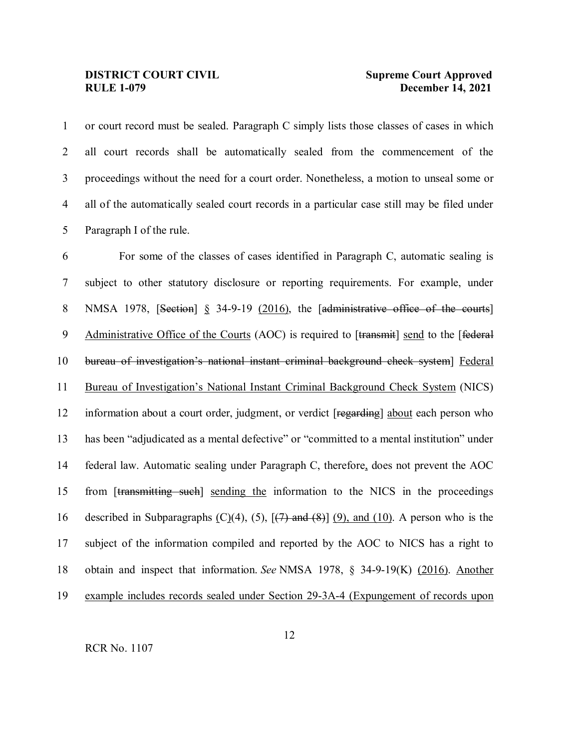or court record must be sealed. Paragraph C simply lists those classes of cases in which all court records shall be automatically sealed from the commencement of the proceedings without the need for a court order. Nonetheless, a motion to unseal some or all of the automatically sealed court records in a particular case still may be filed under Paragraph I of the rule.

 For some of the classes of cases identified in Paragraph C, automatic sealing is subject to other statutory disclosure or reporting requirements. For example, under 8 NMSA 1978, [Section] § 34-9-19 (2016), the [administrative office of the courts] 9 Administrative Office of the Courts (AOC) is required to [transmit] send to the [federal bureau of investigation's national instant criminal background check system] Federal Bureau of Investigation's National Instant Criminal Background Check System (NICS) information about a court order, judgment, or verdict [regarding] about each person who has been "adjudicated as a mental defective" or "committed to a mental institution" under federal law. Automatic sealing under Paragraph C, therefore, does not prevent the AOC from [transmitting such] sending the information to the NICS in the proceedings 16 described in Subparagraphs  $(C)(4)$ ,  $(5)$ ,  $[7)$  and  $(8)$ ]  $(9)$ , and  $(10)$ . A person who is the subject of the information compiled and reported by the AOC to NICS has a right to obtain and inspect that information. *See* NMSA 1978, § 34-9-19(K) (2016). Another example includes records sealed under Section 29-3A-4 (Expungement of records upon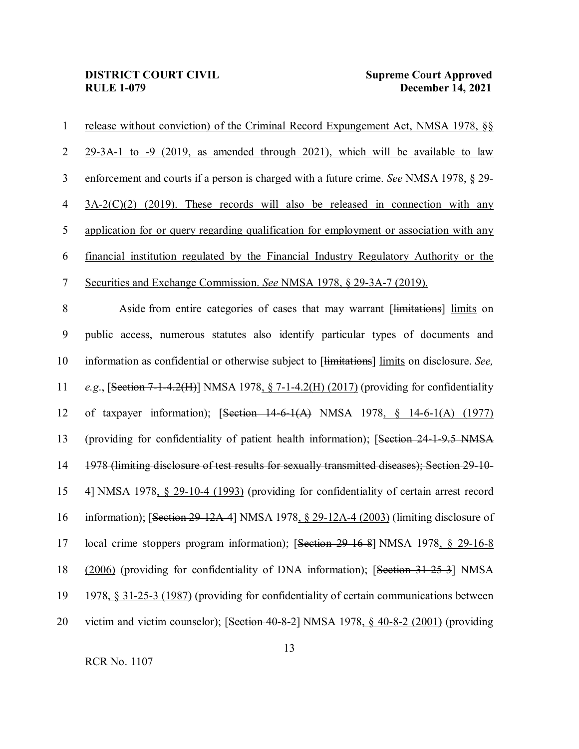| 1              | release without conviction) of the Criminal Record Expungement Act, NMSA 1978, §§            |
|----------------|----------------------------------------------------------------------------------------------|
| $\overline{2}$ | 29-3A-1 to -9 (2019, as amended through 2021), which will be available to law                |
| 3              | enforcement and courts if a person is charged with a future crime. See NMSA 1978, § 29-      |
| $\overline{4}$ | $3A-2(C)(2)$ (2019). These records will also be released in connection with any              |
| $\mathfrak{S}$ | application for or query regarding qualification for employment or association with any      |
| 6              | financial institution regulated by the Financial Industry Regulatory Authority or the        |
| $\tau$         | Securities and Exchange Commission. See NMSA 1978, § 29-3A-7 (2019).                         |
| $\,8\,$        | Aside from entire categories of cases that may warrant [limitations] limits on               |
| 9              | public access, numerous statutes also identify particular types of documents and             |
| 10             | information as confidential or otherwise subject to [limitations] limits on disclosure. See, |
| 11             | e.g., [Section 7-1-4.2(H)] NMSA 1978, $\S$ 7-1-4.2(H) (2017) (providing for confidentiality  |
| 12             | of taxpayer information); [Section $14-6-1(A)$ NMSA 1978, § 14-6-1(A) (1977)                 |
| 13             | (providing for confidentiality of patient health information); [Section 24-1-9.5 NMSA        |
| 14             | 1978 (limiting disclosure of test results for sexually transmitted diseases); Section 29-10- |
| 15             | 4] NMSA 1978, § 29-10-4 (1993) (providing for confidentiality of certain arrest record       |
| 16             | information); [Section 29-12A-4] NMSA 1978, § 29-12A-4 (2003) (limiting disclosure of        |
| 17             | local crime stoppers program information); [Section 29-16-8] NMSA 1978, § 29-16-8            |
| 18             | (2006) (providing for confidentiality of DNA information); [Section 31-25-3] NMSA            |
| 19             | 1978, § 31-25-3 (1987) (providing for confidentiality of certain communications between      |
| 20             | victim and victim counselor); [Section 40-8-2] NMSA 1978, § 40-8-2 (2001) (providing         |
|                |                                                                                              |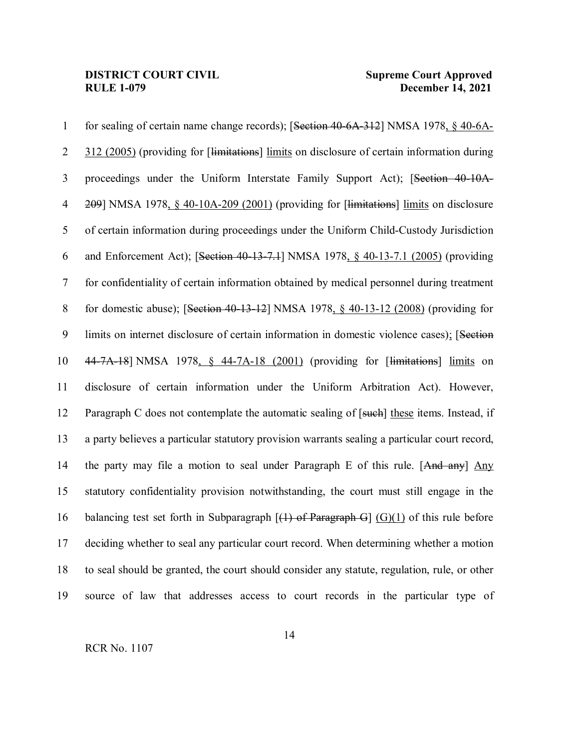## **DISTRICT COURT CIVIL**<br>**RULE 1-079 December 14, 2021**

 for sealing of certain name change records); [Section 40-6A-312] NMSA 1978, § 40-6A-2 312 (2005) (providing for [<del>limitations</del>] limits on disclosure of certain information during proceedings under the Uniform Interstate Family Support Act); [Section 40-10A- 209] NMSA 1978, § 40-10A-209 (2001) (providing for [limitations] limits on disclosure of certain information during proceedings under the Uniform Child-Custody Jurisdiction and Enforcement Act); [Section 40-13-7.1] NMSA 1978, § 40-13-7.1 (2005) (providing for confidentiality of certain information obtained by medical personnel during treatment for domestic abuse); [Section 40-13-12] NMSA 1978, § 40-13-12 (2008) (providing for limits on internet disclosure of certain information in domestic violence cases); [Section 44-7A-18] NMSA 1978, § 44-7A-18 (2001) (providing for [limitations] limits on disclosure of certain information under the Uniform Arbitration Act). However, 12 Paragraph C does not contemplate the automatic sealing of [such] these items. Instead, if a party believes a particular statutory provision warrants sealing a particular court record, 14 the party may file a motion to seal under Paragraph E of this rule. [And any] Any statutory confidentiality provision notwithstanding, the court must still engage in the 16 balancing test set forth in Subparagraph  $[(1)$  of Paragraph G]  $(G)(1)$  of this rule before deciding whether to seal any particular court record. When determining whether a motion to seal should be granted, the court should consider any statute, regulation, rule, or other source of law that addresses access to court records in the particular type of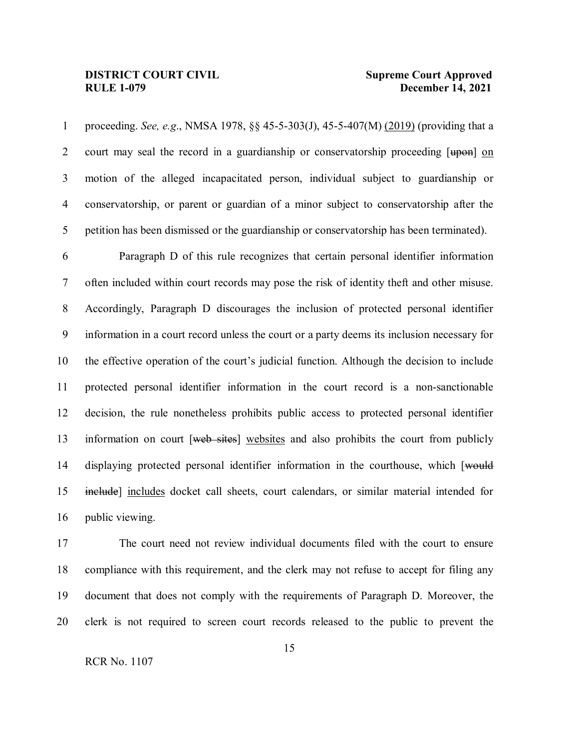proceeding. *See, e.g*., NMSA 1978, §§ 45-5-303(J), 45-5-407(M) (2019) (providing that a 2 court may seal the record in a guardianship or conservatorship proceeding  $[\text{up}-\text{up}-\text{up}$  on motion of the alleged incapacitated person, individual subject to guardianship or conservatorship, or parent or guardian of a minor subject to conservatorship after the petition has been dismissed or the guardianship or conservatorship has been terminated).

 Paragraph D of this rule recognizes that certain personal identifier information often included within court records may pose the risk of identity theft and other misuse. Accordingly, Paragraph D discourages the inclusion of protected personal identifier information in a court record unless the court or a party deems its inclusion necessary for the effective operation of the court's judicial function. Although the decision to include protected personal identifier information in the court record is a non-sanctionable decision, the rule nonetheless prohibits public access to protected personal identifier 13 information on court [web sites] websites and also prohibits the court from publicly 14 displaying protected personal identifier information in the courthouse, which [would include] includes docket call sheets, court calendars, or similar material intended for public viewing.

 The court need not review individual documents filed with the court to ensure compliance with this requirement, and the clerk may not refuse to accept for filing any document that does not comply with the requirements of Paragraph D. Moreover, the clerk is not required to screen court records released to the public to prevent the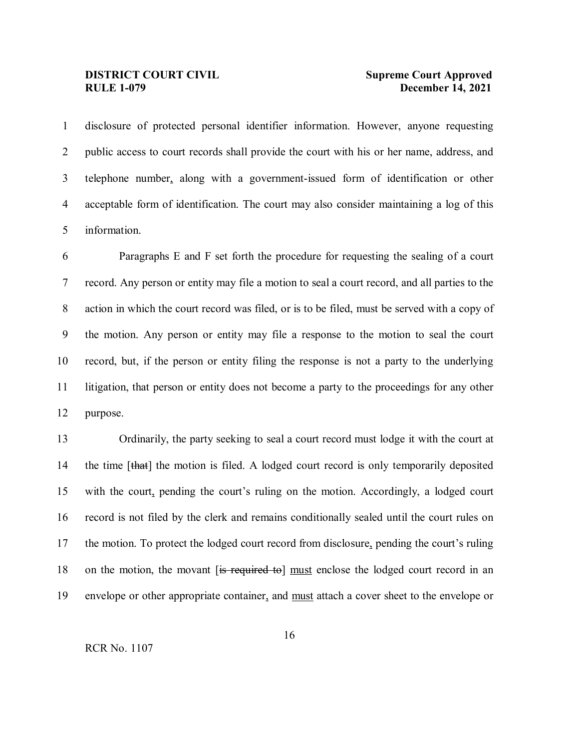disclosure of protected personal identifier information. However, anyone requesting public access to court records shall provide the court with his or her name, address, and telephone number, along with a government-issued form of identification or other acceptable form of identification. The court may also consider maintaining a log of this information.

 Paragraphs E and F set forth the procedure for requesting the sealing of a court record. Any person or entity may file a motion to seal a court record, and all parties to the action in which the court record was filed, or is to be filed, must be served with a copy of the motion. Any person or entity may file a response to the motion to seal the court record, but, if the person or entity filing the response is not a party to the underlying litigation, that person or entity does not become a party to the proceedings for any other purpose.

 Ordinarily, the party seeking to seal a court record must lodge it with the court at 14 the time [that] the motion is filed. A lodged court record is only temporarily deposited with the court, pending the court's ruling on the motion. Accordingly, a lodged court record is not filed by the clerk and remains conditionally sealed until the court rules on the motion. To protect the lodged court record from disclosure, pending the court's ruling 18 on the motion, the movant [is required to] must enclose the lodged court record in an envelope or other appropriate container, and must attach a cover sheet to the envelope or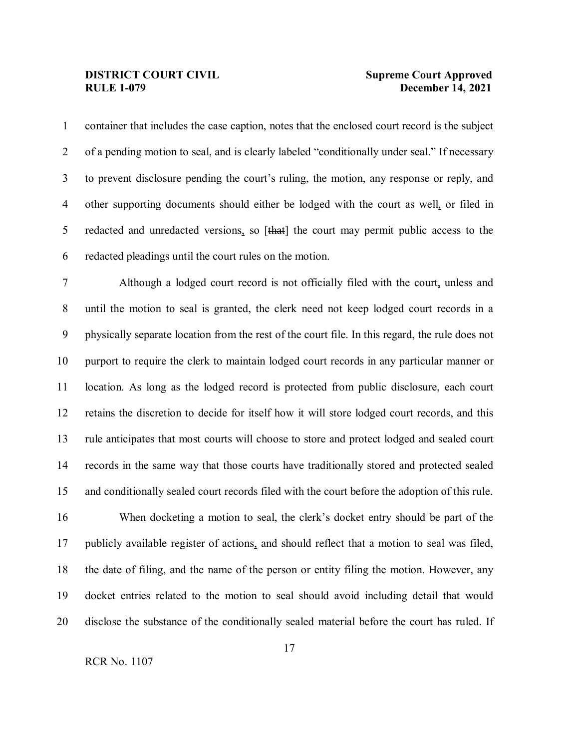container that includes the case caption, notes that the enclosed court record is the subject of a pending motion to seal, and is clearly labeled "conditionally under seal." If necessary to prevent disclosure pending the court's ruling, the motion, any response or reply, and other supporting documents should either be lodged with the court as well, or filed in 5 redacted and unredacted versions, so [that] the court may permit public access to the redacted pleadings until the court rules on the motion.

 Although a lodged court record is not officially filed with the court, unless and until the motion to seal is granted, the clerk need not keep lodged court records in a physically separate location from the rest of the court file. In this regard, the rule does not purport to require the clerk to maintain lodged court records in any particular manner or location. As long as the lodged record is protected from public disclosure, each court retains the discretion to decide for itself how it will store lodged court records, and this rule anticipates that most courts will choose to store and protect lodged and sealed court records in the same way that those courts have traditionally stored and protected sealed and conditionally sealed court records filed with the court before the adoption of this rule.

 When docketing a motion to seal, the clerk's docket entry should be part of the publicly available register of actions, and should reflect that a motion to seal was filed, the date of filing, and the name of the person or entity filing the motion. However, any docket entries related to the motion to seal should avoid including detail that would disclose the substance of the conditionally sealed material before the court has ruled. If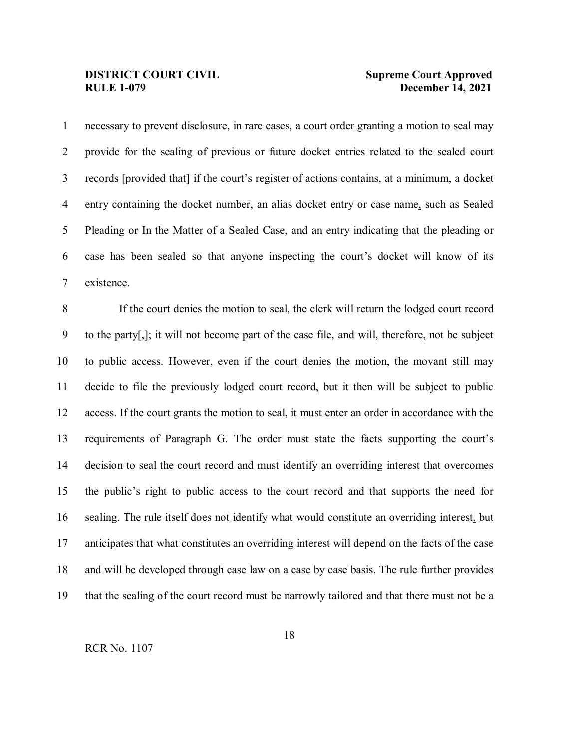necessary to prevent disclosure, in rare cases, a court order granting a motion to seal may provide for the sealing of previous or future docket entries related to the sealed court records [provided that] if the court's register of actions contains, at a minimum, a docket entry containing the docket number, an alias docket entry or case name, such as Sealed Pleading or In the Matter of a Sealed Case, and an entry indicating that the pleading or case has been sealed so that anyone inspecting the court's docket will know of its existence.

 If the court denies the motion to seal, the clerk will return the lodged court record 9 to the party $\left[\frac{1}{2}\right]$ ; it will not become part of the case file, and will, therefore, not be subject to public access. However, even if the court denies the motion, the movant still may decide to file the previously lodged court record, but it then will be subject to public access. If the court grants the motion to seal, it must enter an order in accordance with the requirements of Paragraph G. The order must state the facts supporting the court's decision to seal the court record and must identify an overriding interest that overcomes the public's right to public access to the court record and that supports the need for sealing. The rule itself does not identify what would constitute an overriding interest, but anticipates that what constitutes an overriding interest will depend on the facts of the case and will be developed through case law on a case by case basis. The rule further provides that the sealing of the court record must be narrowly tailored and that there must not be a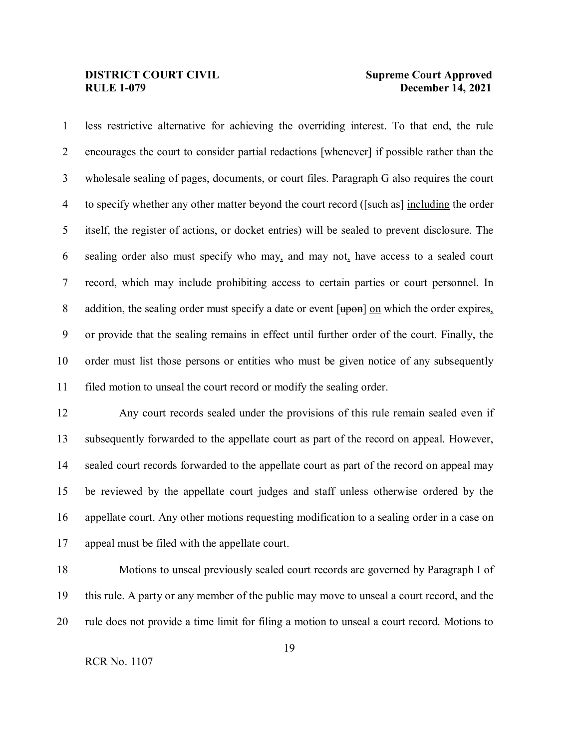less restrictive alternative for achieving the overriding interest. To that end, the rule 2 encourages the court to consider partial redactions [whenever] if possible rather than the wholesale sealing of pages, documents, or court files. Paragraph G also requires the court 4 to specify whether any other matter beyond the court record ([such as] including the order itself, the register of actions, or docket entries) will be sealed to prevent disclosure. The sealing order also must specify who may, and may not, have access to a sealed court record, which may include prohibiting access to certain parties or court personnel. In 8 addition, the sealing order must specify a date or event  $[\text{upon}]$  on which the order expires, or provide that the sealing remains in effect until further order of the court. Finally, the order must list those persons or entities who must be given notice of any subsequently filed motion to unseal the court record or modify the sealing order.

 Any court records sealed under the provisions of this rule remain sealed even if subsequently forwarded to the appellate court as part of the record on appeal. However, sealed court records forwarded to the appellate court as part of the record on appeal may be reviewed by the appellate court judges and staff unless otherwise ordered by the appellate court. Any other motions requesting modification to a sealing order in a case on appeal must be filed with the appellate court.

 Motions to unseal previously sealed court records are governed by Paragraph I of this rule. A party or any member of the public may move to unseal a court record, and the rule does not provide a time limit for filing a motion to unseal a court record. Motions to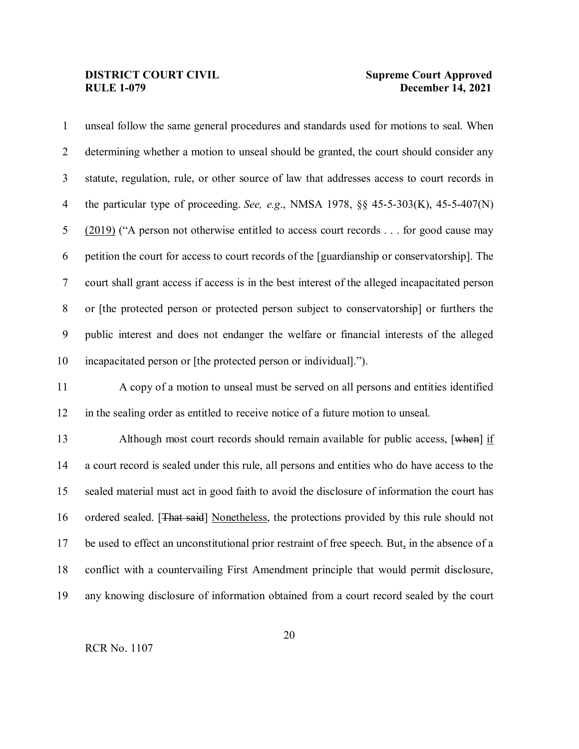unseal follow the same general procedures and standards used for motions to seal. When determining whether a motion to unseal should be granted, the court should consider any statute, regulation, rule, or other source of law that addresses access to court records in the particular type of proceeding. *See, e.g*., NMSA 1978, §§ 45-5-303(K), 45-5-407(N) (2019) ("A person not otherwise entitled to access court records . . . for good cause may petition the court for access to court records of the [guardianship or conservatorship]. The court shall grant access if access is in the best interest of the alleged incapacitated person or [the protected person or protected person subject to conservatorship] or furthers the public interest and does not endanger the welfare or financial interests of the alleged incapacitated person or [the protected person or individual]."). A copy of a motion to unseal must be served on all persons and entities identified in the sealing order as entitled to receive notice of a future motion to unseal. 13 Although most court records should remain available for public access, [when] if a court record is sealed under this rule, all persons and entities who do have access to the sealed material must act in good faith to avoid the disclosure of information the court has 16 ordered sealed. [That said] Nonetheless, the protections provided by this rule should not be used to effect an unconstitutional prior restraint of free speech. But, in the absence of a conflict with a countervailing First Amendment principle that would permit disclosure, any knowing disclosure of information obtained from a court record sealed by the court